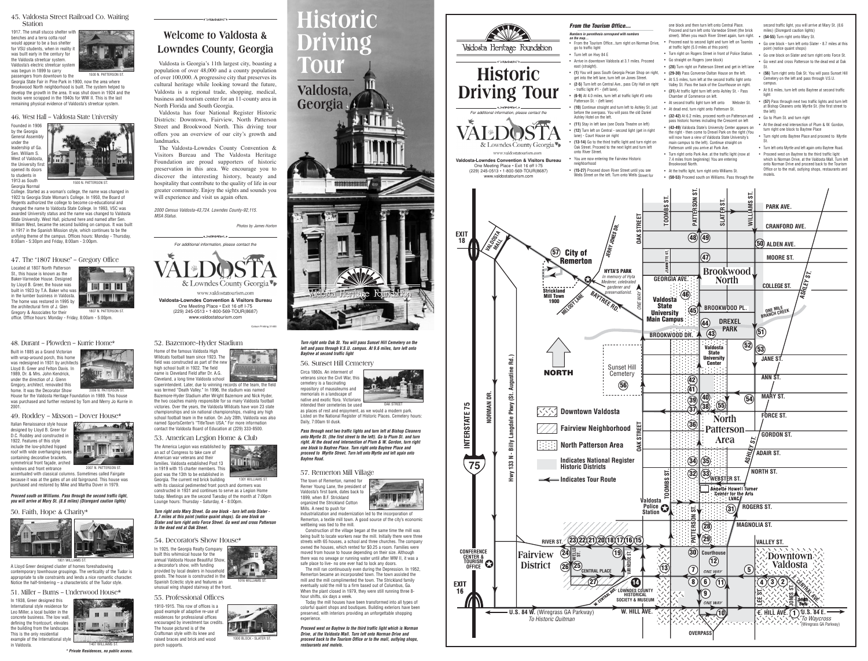The Valdosta-Lowndes County Convention & Visitors Bureau and The Valdosta Heritage Foundation are proud supporters of historic preservation in this area. We encourage you to discover the interesting history, beauty and hospitality that contribute to the quality of life in our greater community. Enjoy the sights and sounds you will experience and visit us again often.



# **Welcome to Valdosta & Lowndes County, Georgia**

-<br>-<br><del>- 기타</del> <del>(1999년 -</del> 1999년 - 1999년 - 1999년 - 1999년 - 1999년 - 1999년 - 1999년 - 1999년 - 1999년 - 1999년 - 1999년 - 1999년

Valdosta is Georgia's 11th largest city, boasting a population of over 48,000 and a county population of over 100,000. A progressive city that preserves its cultural heritage while looking toward the future, Valdosta is a regional trade, shopping, medical, business and tourism center for an 11-county area in North Florida and South Georgia.

Valdosta has four National Register Historic Districts: Downtown, Fairview, North Patterson Street and Brookwood North. This driving tour offers you an overview of our city's growth and landmarks.

2000 Census Valdosta-43,724. Lowndes County-92,115. MSA Status.

Photos by James Horton



office. Office hours: Monday - Friday, 8:00am - 5:00pm. 1807 N. PATTERSON ST.

passengers from downtown to the Georgia State Fair in Pine Park in 1900, now the area where Brookwood North neighborhood is built. The system helped to develop the growth in the area. It was shut down in 1924 and the tracks were scrapped in the 1940s for WW II. This is the last remaining physical evidence of Valdosta's streetcar system. 1500 N. PATTERSON S



The town of Remerton, named for Remer Young Lane, the president of Valdosta's first bank, dates back to 1899, when B.F. Strickland organized the Strickland Cotton Mills. A need to push for



industrialization and modernization led to the incorporation of Remerton, a textile mill town. A good source of the city's economic wellbeing was tied to the mill.

Construction of the village began at the same time the mill was being built to locate workers near the mill. Initially there were three streets with 65 houses, a school and three churches. The company owned the houses, which rented for \$0.25 a room. Families were moved from house to house depending on their size. Although there was no sewage or running water until after WW II, it was a safe place to live- no one ever had to lock any doors.

The mill ran continuously even during the Depression. In 1952, Remerton became an incorporated town. The town assisted the mill and the mill complimented the town. The Strickland family eventually sold the mill to a firm based out of Columbus, Ga. When the plant closed in 1979, they were still running three 8 hour shifts, six days a week.

Today the mill houses have been transformed into all types of colorful quaint shops and boutiques. Building exteriors have been preserved, with interiors providing an unforgettable shopping experience.

1910-1915. This row of offices is a good example of adaptive re-use of residences for professional offices encouraged by investment tax credits. The house pictured is of the Craftsman style with its knee and raised braces and brick and wood porch supports.



#### **55. Professional Offices**

1000 BLOCK - SLATER ST.

Circa 1860s. An interment of veterans since the Civil War, this cemetery is a fascinating repository of mausoleums and memorials in a landscape of native and exotic flora. Victorians intended their cemeteries be used



OAK STREE

as places of rest and enjoyment, as we would a modern park. Listed on the National Register of Historic Places. Cemetery hours: Daily, 7:00am til dusk.

### **56. Sunset Hill Cemetery**

### **57. Remerton Mill Village**

In 1925, the Georgia Realty Company built this whimsical house for the annual Valdosta House Beautiful Show, a decorator's show, with funding provided by local dealers in household goods. The house is constructed in the Spanish Eclectic style and features an unusual wing shaped stairway at the front.

#### **54. Decorator's Show House\***



Home of the famous Valdosta High Wildcats football team since 1923. The field was constructed as part of the new high school built in 1922. The field name is Cleveland Field after Dr. A.G. Cleveland, a long time Valdosta school



superintendent. Later, due to winning records of the team, the field was termed "Death Valley." In 1996, the stadium was named Bazemore-Hyder Stadium after Wright Bazemore and Nick Hyder, the two coaches mainly responsible for so many Valdosta football victories. Over the years, the Valdosta Wildcats have won 23 state championships and six national championships, rivaling any high school football team in the nation. On July 28th, Valdosta was also named SportsCenter's "TitleTown USA." For more information contact the Valdosta Board of Education at (229) 333-8500.

### **52. Bazemore–Hyder Stadium**

an act of Congress to take care of American war veterans and their



families. Valdosta established Post 13 in 1919 with 15 charter members. This post was the 13th to be established in Georgia. The current red brick building



with its classical pedimented front porch and dormers was constructed in 1931 and continues to serve as a Legion Home today. Meetings are the second Tuesday of the month at 7:00pm Lounge hours: Thursday - Saturday, 4 - 8:00pm.

### **53. American Legion Home & Club**

1301 WILLIAMS ST.

Founded in 1906 by the Georgia General Assembly under the leadership of Ga. Sen. William S. West of Valdosta, the University first opened its doors to students in 1913 as South

Georgia Normal



College. Started as a woman's college, the name was changed in 1922 to Georgia State Woman's College. In 1950, the Board of Regents authorized the college to become co-educational and changed the name to Valdosta State College. In 1993, VSC was awarded University status and the name was changed to Valdosta State University. West Hall, pictured here and named after Sen. William West, became the second building on campus. It was built in 1917 in the Spanish Mission style, which continues to be the unifying theme of the campus. Offices hours: Monday - Thursday, 8:00am - 5:30pm and Friday, 8:00am - 3:00pm.

**46. West Hall – Valdosta State University**

Located at 1807 North Patterson St., this house is known as the Baker-Varnedoe House. Designed by Lloyd B. Greer, the house was built in 1923 by T.A. Baker who was in the lumber business in Valdosta. The home was restored in 1995 by the architectural firm of J. Glen Gregory & Associates for their



### **47. The "1807 House" – Gregory Office**

1500 N. PATTERSON ST.

1917. The small stucco shelter with benches and a terra cotta roof would appear to be a bus shelter for VSU students, when in reality it was built early in the century for the Valdosta streetcar system. Valdosta's electric streetcar system was begun in 1899 to carry



### **45. Valdosta Street Railroad Co. Waiting Station**

Built in 1885 as a Grand Victorian with wrap-around porch, this home was redesigned in 1931 by architects Lloyd B. Greer and Felton Davis. In 1989, Dr. & Mrs. John Kendrick, under the direction of J. Glenn Gregory, architect, renovated this home. It was the Decorator Show

2006 N. PATTERSON S

House for the Valdosta Heritage Foundation in 1989. This house was purchased and further restored by Tom and Merry Jo Kurrie in 2001.

### **48. Durant – Plowden – Kurrie Home\***

Italian Renaissance style house designed by Lloyd B. Greer for D.C. Roddey and constructed in 1922. Features of this style include the low-pitched hipped roof with wide overhanging eaves containing decorative brackets, symmetrical front façade, arched windows and front entrance



2007 N. PATTERSON ST.

accentuated with classical columns. Sometimes called Fairgate because it was at the gates of an old fairground. This house was purchased and restored by Mike and Martha Dover in 1979.

**49. Roddey – Mixson – Dover House\***

A Lloyd Greer designed cluster of homes foreshadowing contemporary townhouse groupings. The verticality of the Tudor is appropriate to site constraints and lends a nice romantic character. Notice the half-timbering – a characteristic of the Tudor style.

### **50. Faith, Hope & Charity\***



In 1938, Greer designed this International style residence for Leo Miller, a local builder in the concrete business. The low wall, defining the frontcourt, elevates the building from the landscape. This is the only residential example of the International style in Valdosta.

**51. Miller – Burns – Underwood House\***



**Proceed south on Williams. Pass through the second traffic light, you will arrive at Mary St. (8.6 miles) (Disregard caution lights)**

> **Turn right onto Mary Street. Go one block - turn left onto Slater - 8.7 miles at this point (notice quaint shops). Go one block on Slater and turn right onto Force Street. Go west and cross Patterson to the dead end at Oak Street.**

**\* Private Residences, no public access.** 

The America Legion was established by

**Proceed west on Baytree to the third traffic light which is Norman Drive, at the Valdosta Mall. Turn left onto Norman Drive and proceed back to the Tourism Office or to the mall, outlying shops, restaurants and motels.**

**Turn right onto Oak St. You will pass Sunset Hill Cemetery on the left and pass through V.S.U. campus. At 9.6 miles, turn left onto Baytree at second traffic light**

**Pass through next two traffic lights and turn left at Bishop Cleaners onto Myrtle St. (the first street to the left). Go to Plum St. and turn right. At the dead end intersection of Plum & W. Gordon, turn right one block to Baytree Place. Turn right onto Baytree Place and proceed to Myrtle Street. Turn left onto Myrtle and left again onto Baytree Road.**